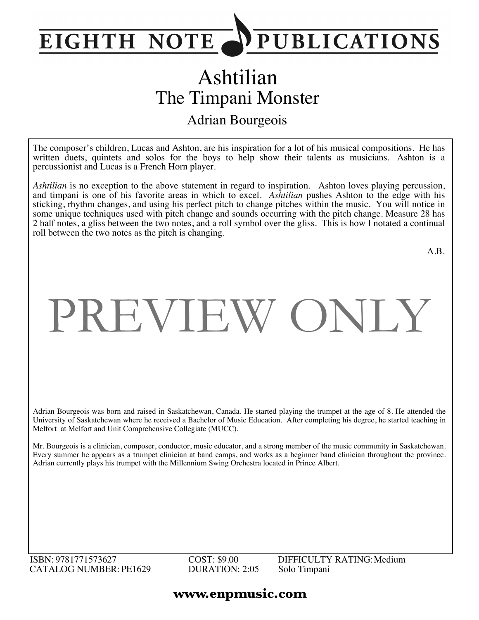

## Ashtilian The Timpani Monster Adrian Bourgeois

The composer's children, Lucas and Ashton, are his inspiration for a lot of his musical compositions. He has written duets, quintets and solos for the boys to help show their talents as musicians. Ashton is a percussionist and Lucas is a French Horn player.

*Ashtilian* is no exception to the above statement in regard to inspiration. Ashton loves playing percussion, and timpani is one of his favorite areas in which to excel. *Ashtilian* pushes Ashton to the edge with his sticking, rhythm changes, and using his perfect pitch to change pitches within the music. You will notice in some unique techniques used with pitch change and sounds occurring with the pitch change. Measure 28 has 2 half notes, a gliss between the two notes, and a roll symbol over the gliss. This is how I notated a continual roll between the two notes as the pitch is changing.

A.B.

## PREVIEW ONLY

Adrian Bourgeois was born and raised in Saskatchewan, Canada. He started playing the trumpet at the age of 8. He attended the University of Saskatchewan where he received a Bachelor of Music Education. After completing his degree, he started teaching in Melfort at Melfort and Unit Comprehensive Collegiate (MUCC).

Mr. Bourgeois is a clinician, composer, conductor, music educator, and a strong member of the music community in Saskatchewan. Every summer he appears as a trumpet clinician at band camps, and works as a beginner band clinician throughout the province. Adrian currently plays his trumpet with the Millennium Swing Orchestra located in Prince Albert.

ISBN: 9781771573627 CATALOG NUMBER: PE1629 COST: \$9.00 DURATION: 2:05

DIFFICULTY RATING:Medium Solo Timpani

## **www.enpmusic.com**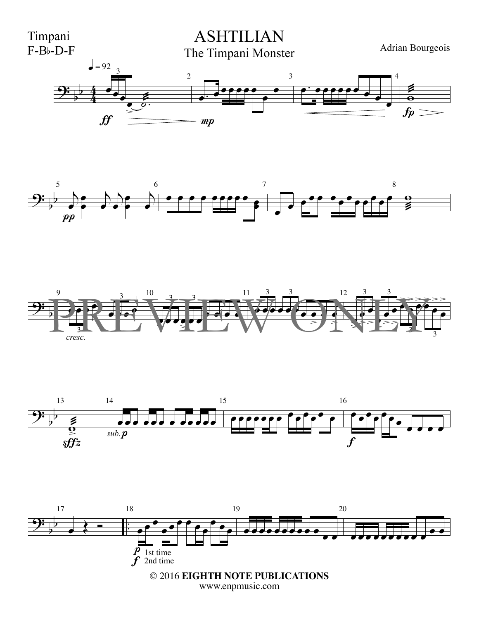



3